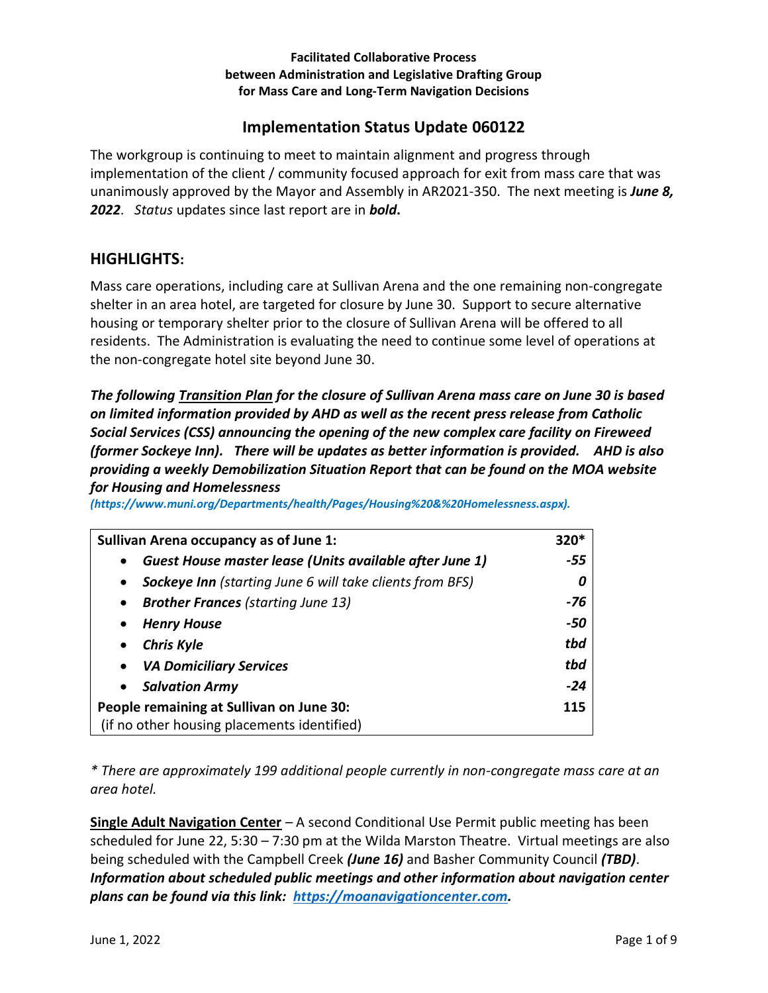### **Facilitated Collaborative Process between Administration and Legislative Drafting Group for Mass Care and Long-Term Navigation Decisions**

# **Implementation Status Update 060122**

The workgroup is continuing to meet to maintain alignment and progress through implementation of the client / community focused approach for exit from mass care that was unanimously approved by the Mayor and Assembly in AR2021-350. The next meeting is *June 8, 2022*. *Status* updates since last report are in *bold***.** 

## **HIGHLIGHTS:**

Mass care operations, including care at Sullivan Arena and the one remaining non-congregate shelter in an area hotel, are targeted for closure by June 30. Support to secure alternative housing or temporary shelter prior to the closure of Sullivan Arena will be offered to all residents. The Administration is evaluating the need to continue some level of operations at the non-congregate hotel site beyond June 30.

*The following Transition Plan for the closure of Sullivan Arena mass care on June 30 is based on limited information provided by AHD as well as the recent press release from Catholic Social Services (CSS) announcing the opening of the new complex care facility on Fireweed (former Sockeye Inn). There will be updates as better information is provided. AHD is also providing a weekly Demobilization Situation Report that can be found on the MOA website for Housing and Homelessness* 

*(https://www.muni.org/Departments/health/Pages/Housing%20&%20Homelessness.aspx).* 

| <b>Sullivan Arena occupancy as of June 1:</b>                                | $320*$ |
|------------------------------------------------------------------------------|--------|
| Guest House master lease (Units available after June 1)<br>$\bullet$         | -55    |
| <b>Sockeye Inn</b> (starting June 6 will take clients from BFS)<br>$\bullet$ |        |
| <b>Brother Frances</b> (starting June 13)<br>$\bullet$                       | -76    |
| <b>Henry House</b>                                                           | -50    |
| <b>Chris Kyle</b><br>$\bullet$                                               | tbd    |
| <b>VA Domiciliary Services</b><br>$\bullet$                                  | tbd    |
| <b>Salvation Army</b><br>$\bullet$                                           | $-24$  |
| People remaining at Sullivan on June 30:                                     | 115    |
| (if no other housing placements identified)                                  |        |

*\* There are approximately 199 additional people currently in non-congregate mass care at an area hotel.* 

**Single Adult Navigation Center** – A second Conditional Use Permit public meeting has been scheduled for June 22, 5:30 – 7:30 pm at the Wilda Marston Theatre. Virtual meetings are also being scheduled with the Campbell Creek *(June 16)* and Basher Community Council *(TBD)*. *Information about scheduled public meetings and other information about navigation center plans can be found via this link: [https://moanavigationcenter.com.](https://moanavigationcenter.com/)*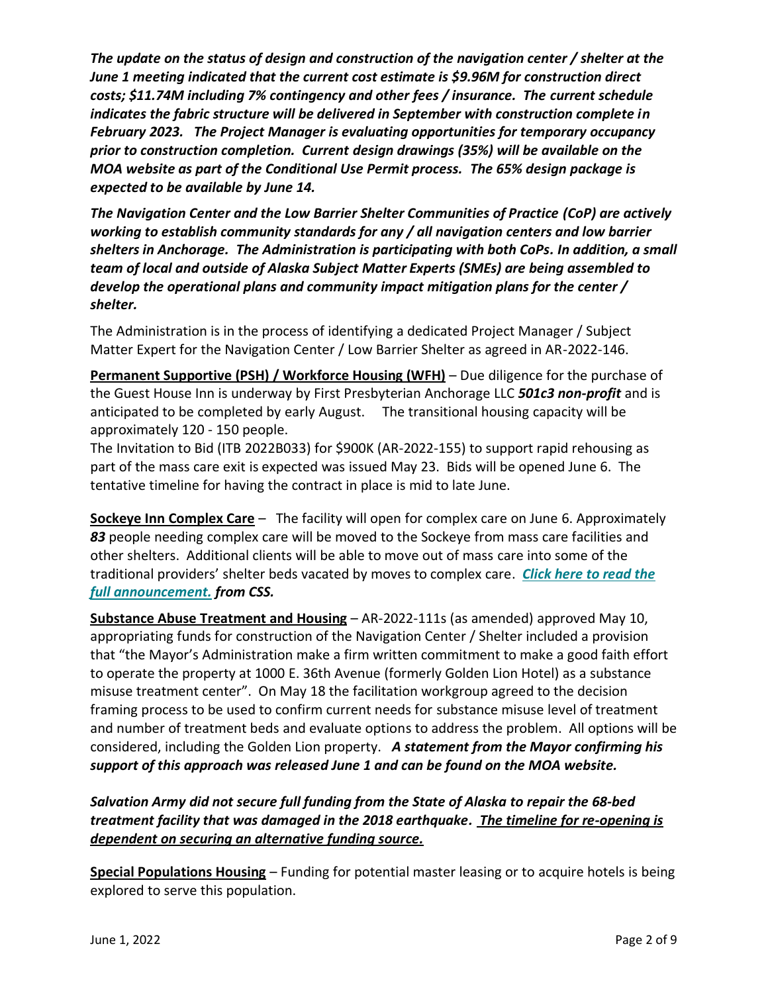*The update on the status of design and construction of the navigation center / shelter at the June 1 meeting indicated that the current cost estimate is \$9.96M for construction direct costs; \$11.74M including 7% contingency and other fees / insurance. The current schedule indicates the fabric structure will be delivered in September with construction complete in February 2023. The Project Manager is evaluating opportunities for temporary occupancy prior to construction completion. Current design drawings (35%) will be available on the MOA website as part of the Conditional Use Permit process. The 65% design package is expected to be available by June 14.* 

*The Navigation Center and the Low Barrier Shelter Communities of Practice (CoP) are actively working to establish community standards for any / all navigation centers and low barrier shelters in Anchorage. The Administration is participating with both CoPs. In addition, a small team of local and outside of Alaska Subject Matter Experts (SMEs) are being assembled to develop the operational plans and community impact mitigation plans for the center / shelter.* 

The Administration is in the process of identifying a dedicated Project Manager / Subject Matter Expert for the Navigation Center / Low Barrier Shelter as agreed in AR-2022-146.

**Permanent Supportive (PSH) / Workforce Housing (WFH)** – Due diligence for the purchase of the Guest House Inn is underway by First Presbyterian Anchorage LLC *501c3 non-profit* and is anticipated to be completed by early August. The transitional housing capacity will be approximately 120 - 150 people.

The Invitation to Bid (ITB 2022B033) for \$900K (AR-2022-155) to support rapid rehousing as part of the mass care exit is expected was issued May 23. Bids will be opened June 6. The tentative timeline for having the contract in place is mid to late June.

**Sockeye Inn Complex Care** – The facility will open for complex care on June 6. Approximately *83* people needing complex care will be moved to the Sockeye from mass care facilities and other shelters. Additional clients will be able to move out of mass care into some of the traditional providers' shelter beds vacated by moves to complex care. *[Click here to read the](https://linkprotect.cudasvc.com/url?a=https%3a%2f%2fcssalaska.us9.list-manage.com%2ftrack%2fclick%3fu%3d88bc0f6ceb48f9810a7d3f632%26id%3dd5f6714c26%26e%3d534261207e&c=E,1,LoCSfxJI3s-kIWkvelsGoO6qPzUH5PreceEV3K7jhDXXC30kc3rR50p7dR0yuAMXbJoHzPsOp9FNaheeSJOn2TKKpBvoGtLwiveD9XrAfwu_fXmsC9rqk0rMKg,,&typo=1)  [full announcement.](https://linkprotect.cudasvc.com/url?a=https%3a%2f%2fcssalaska.us9.list-manage.com%2ftrack%2fclick%3fu%3d88bc0f6ceb48f9810a7d3f632%26id%3dd5f6714c26%26e%3d534261207e&c=E,1,LoCSfxJI3s-kIWkvelsGoO6qPzUH5PreceEV3K7jhDXXC30kc3rR50p7dR0yuAMXbJoHzPsOp9FNaheeSJOn2TKKpBvoGtLwiveD9XrAfwu_fXmsC9rqk0rMKg,,&typo=1) from CSS.* 

**Substance Abuse Treatment and Housing** – AR-2022-111s (as amended) approved May 10, appropriating funds for construction of the Navigation Center / Shelter included a provision that "the Mayor's Administration make a firm written commitment to make a good faith effort to operate the property at 1000 E. 36th Avenue (formerly Golden Lion Hotel) as a substance misuse treatment center". On May 18 the facilitation workgroup agreed to the decision framing process to be used to confirm current needs for substance misuse level of treatment and number of treatment beds and evaluate options to address the problem.All options will be considered, including the Golden Lion property. *A statement from the Mayor confirming his support of this approach was released June 1 and can be found on the MOA website.* 

*Salvation Army did not secure full funding from the State of Alaska to repair the 68-bed treatment facility that was damaged in the 2018 earthquake. The timeline for re-opening is dependent on securing an alternative funding source.* 

**Special Populations Housing** – Funding for potential master leasing or to acquire hotels is being explored to serve this population.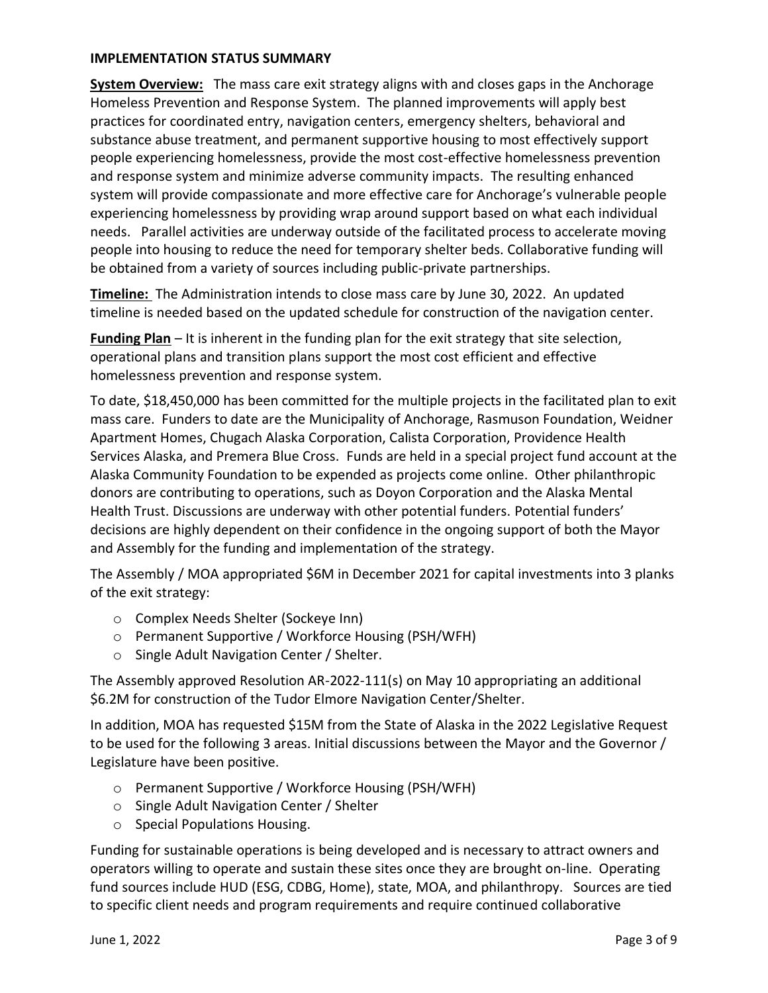### **IMPLEMENTATION STATUS SUMMARY**

**System Overview:** The mass care exit strategy aligns with and closes gaps in the Anchorage Homeless Prevention and Response System. The planned improvements will apply best practices for coordinated entry, navigation centers, emergency shelters, behavioral and substance abuse treatment, and permanent supportive housing to most effectively support people experiencing homelessness, provide the most cost-effective homelessness prevention and response system and minimize adverse community impacts. The resulting enhanced system will provide compassionate and more effective care for Anchorage's vulnerable people experiencing homelessness by providing wrap around support based on what each individual needs. Parallel activities are underway outside of the facilitated process to accelerate moving people into housing to reduce the need for temporary shelter beds. Collaborative funding will be obtained from a variety of sources including public-private partnerships.

**Timeline:** The Administration intends to close mass care by June 30, 2022. An updated timeline is needed based on the updated schedule for construction of the navigation center.

**Funding Plan** – It is inherent in the funding plan for the exit strategy that site selection, operational plans and transition plans support the most cost efficient and effective homelessness prevention and response system.

To date, \$18,450,000 has been committed for the multiple projects in the facilitated plan to exit mass care. Funders to date are the Municipality of Anchorage, Rasmuson Foundation, Weidner Apartment Homes, Chugach Alaska Corporation, Calista Corporation, Providence Health Services Alaska, and Premera Blue Cross. Funds are held in a special project fund account at the Alaska Community Foundation to be expended as projects come online. Other philanthropic donors are contributing to operations, such as Doyon Corporation and the Alaska Mental Health Trust. Discussions are underway with other potential funders. Potential funders' decisions are highly dependent on their confidence in the ongoing support of both the Mayor and Assembly for the funding and implementation of the strategy.

The Assembly / MOA appropriated \$6M in December 2021 for capital investments into 3 planks of the exit strategy:

- o Complex Needs Shelter (Sockeye Inn)
- o Permanent Supportive / Workforce Housing (PSH/WFH)
- o Single Adult Navigation Center / Shelter.

The Assembly approved Resolution AR-2022-111(s) on May 10 appropriating an additional \$6.2M for construction of the Tudor Elmore Navigation Center/Shelter.

In addition, MOA has requested \$15M from the State of Alaska in the 2022 Legislative Request to be used for the following 3 areas. Initial discussions between the Mayor and the Governor / Legislature have been positive.

- o Permanent Supportive / Workforce Housing (PSH/WFH)
- o Single Adult Navigation Center / Shelter
- o Special Populations Housing.

Funding for sustainable operations is being developed and is necessary to attract owners and operators willing to operate and sustain these sites once they are brought on-line. Operating fund sources include HUD (ESG, CDBG, Home), state, MOA, and philanthropy. Sources are tied to specific client needs and program requirements and require continued collaborative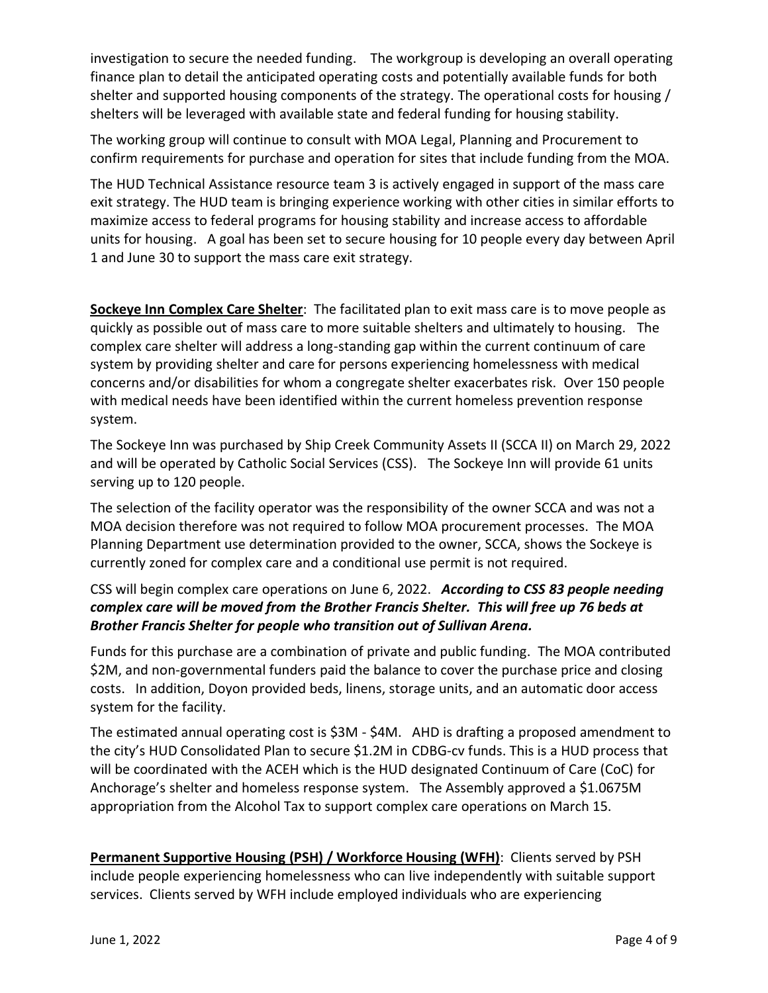investigation to secure the needed funding. The workgroup is developing an overall operating finance plan to detail the anticipated operating costs and potentially available funds for both shelter and supported housing components of the strategy. The operational costs for housing / shelters will be leveraged with available state and federal funding for housing stability.

The working group will continue to consult with MOA Legal, Planning and Procurement to confirm requirements for purchase and operation for sites that include funding from the MOA.

The HUD Technical Assistance resource team 3 is actively engaged in support of the mass care exit strategy. The HUD team is bringing experience working with other cities in similar efforts to maximize access to federal programs for housing stability and increase access to affordable units for housing. A goal has been set to secure housing for 10 people every day between April 1 and June 30 to support the mass care exit strategy.

**Sockeye Inn Complex Care Shelter**:The facilitated plan to exit mass care is to move people as quickly as possible out of mass care to more suitable shelters and ultimately to housing. The complex care shelter will address a long-standing gap within the current continuum of care system by providing shelter and care for persons experiencing homelessness with medical concerns and/or disabilities for whom a congregate shelter exacerbates risk.Over 150 people with medical needs have been identified within the current homeless prevention response system.

The Sockeye Inn was purchased by Ship Creek Community Assets II (SCCA II) on March 29, 2022 and will be operated by Catholic Social Services (CSS). The Sockeye Inn will provide 61 units serving up to 120 people.

The selection of the facility operator was the responsibility of the owner SCCA and was not a MOA decision therefore was not required to follow MOA procurement processes. The MOA Planning Department use determination provided to the owner, SCCA, shows the Sockeye is currently zoned for complex care and a conditional use permit is not required.

## CSS will begin complex care operations on June 6, 2022. *According to CSS 83 people needing complex care will be moved from the Brother Francis Shelter. This will free up 76 beds at Brother Francis Shelter for people who transition out of Sullivan Arena.*

Funds for this purchase are a combination of private and public funding. The MOA contributed \$2M, and non-governmental funders paid the balance to cover the purchase price and closing costs. In addition, Doyon provided beds, linens, storage units, and an automatic door access system for the facility.

The estimated annual operating cost is \$3M - \$4M. AHD is drafting a proposed amendment to the city's HUD Consolidated Plan to secure \$1.2M in CDBG-cv funds. This is a HUD process that will be coordinated with the ACEH which is the HUD designated Continuum of Care (CoC) for Anchorage's shelter and homeless response system. The Assembly approved a \$1.0675M appropriation from the Alcohol Tax to support complex care operations on March 15.

**Permanent Supportive Housing (PSH) / Workforce Housing (WFH)**: Clients served by PSH include people experiencing homelessness who can live independently with suitable support services. Clients served by WFH include employed individuals who are experiencing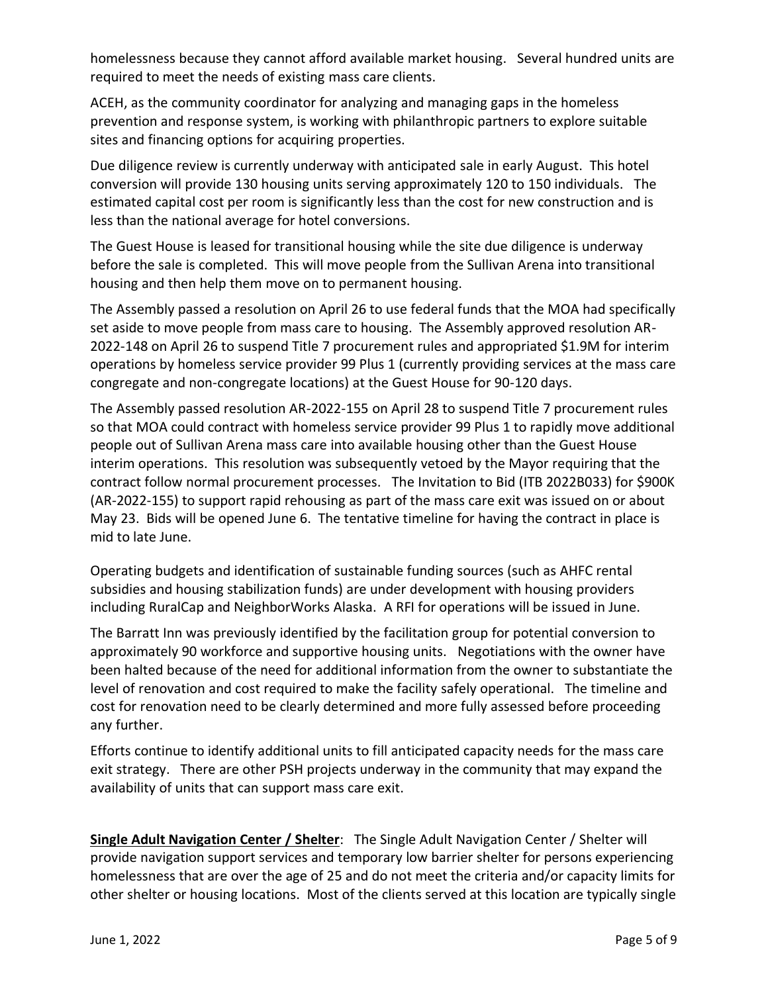homelessness because they cannot afford available market housing. Several hundred units are required to meet the needs of existing mass care clients.

ACEH, as the community coordinator for analyzing and managing gaps in the homeless prevention and response system, is working with philanthropic partners to explore suitable sites and financing options for acquiring properties.

Due diligence review is currently underway with anticipated sale in early August.This hotel conversion will provide 130 housing units serving approximately 120 to 150 individuals.The estimated capital cost per room is significantly less than the cost for new construction and is less than the national average for hotel conversions.

The Guest House is leased for transitional housing while the site due diligence is underway before the sale is completed. This will move people from the Sullivan Arena into transitional housing and then help them move on to permanent housing.

The Assembly passed a resolution on April 26 to use federal funds that the MOA had specifically set aside to move people from mass care to housing. The Assembly approved resolution AR-2022-148 on April 26 to suspend Title 7 procurement rules and appropriated \$1.9M for interim operations by homeless service provider 99 Plus 1 (currently providing services at the mass care congregate and non-congregate locations) at the Guest House for 90-120 days.

The Assembly passed resolution AR-2022-155 on April 28 to suspend Title 7 procurement rules so that MOA could contract with homeless service provider 99 Plus 1 to rapidly move additional people out of Sullivan Arena mass care into available housing other than the Guest House interim operations. This resolution was subsequently vetoed by the Mayor requiring that the contract follow normal procurement processes.The Invitation to Bid (ITB 2022B033) for \$900K (AR-2022-155) to support rapid rehousing as part of the mass care exit was issued on or about May 23. Bids will be opened June 6. The tentative timeline for having the contract in place is mid to late June.

Operating budgets and identification of sustainable funding sources (such as AHFC rental subsidies and housing stabilization funds) are under development with housing providers including RuralCap and NeighborWorks Alaska. A RFI for operations will be issued in June.

The Barratt Inn was previously identified by the facilitation group for potential conversion to approximately 90 workforce and supportive housing units. Negotiations with the owner have been halted because of the need for additional information from the owner to substantiate the level of renovation and cost required to make the facility safely operational. The timeline and cost for renovation need to be clearly determined and more fully assessed before proceeding any further.

Efforts continue to identify additional units to fill anticipated capacity needs for the mass care exit strategy. There are other PSH projects underway in the community that may expand the availability of units that can support mass care exit.

**Single Adult Navigation Center / Shelter**: The Single Adult Navigation Center / Shelter will provide navigation support services and temporary low barrier shelter for persons experiencing homelessness that are over the age of 25 and do not meet the criteria and/or capacity limits for other shelter or housing locations. Most of the clients served at this location are typically single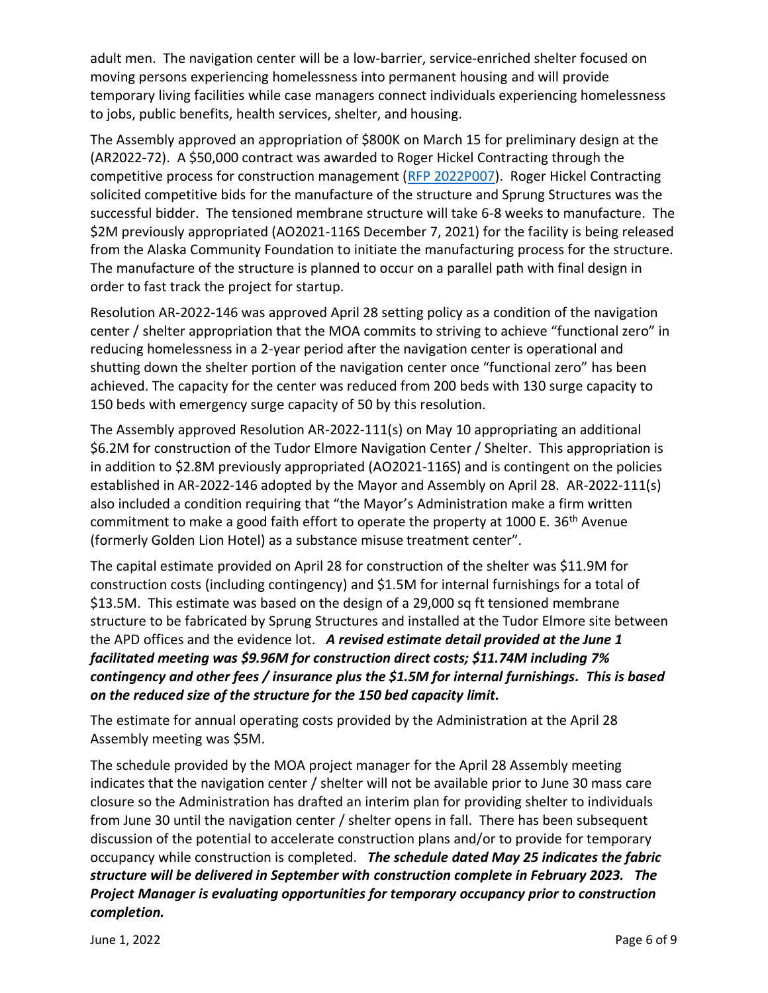adult men. The navigation center will be a low-barrier, service-enriched shelter focused on moving persons experiencing homelessness into permanent housing and will provide temporary living facilities while case managers connect individuals experiencing homelessness to jobs, public benefits, health services, shelter, and housing.

The Assembly approved an appropriation of \$800K on March 15 for preliminary design at the (AR2022-72). A \$50,000 contract was awarded to Roger Hickel Contracting through the competitive process for construction management [\(RFP 2022P007\)](https://purchasing.muni.org/Web%20E-Bid/Open/rfp/2022P007%20Navigation%20Center/Proposal%20Document/2022P007%20-%20Navigation%20Center.pdf). Roger Hickel Contracting solicited competitive bids for the manufacture of the structure and Sprung Structures was the successful bidder. The tensioned membrane structure will take 6-8 weeks to manufacture. The \$2M previously appropriated (AO2021-116S December 7, 2021) for the facility is being released from the Alaska Community Foundation to initiate the manufacturing process for the structure. The manufacture of the structure is planned to occur on a parallel path with final design in order to fast track the project for startup.

Resolution AR-2022-146 was approved April 28 setting policy as a condition of the navigation center / shelter appropriation that the MOA commits to striving to achieve "functional zero" in reducing homelessness in a 2-year period after the navigation center is operational and shutting down the shelter portion of the navigation center once "functional zero" has been achieved. The capacity for the center was reduced from 200 beds with 130 surge capacity to 150 beds with emergency surge capacity of 50 by this resolution.

The Assembly approved Resolution AR-2022-111(s) on May 10 appropriating an additional \$6.2M for construction of the Tudor Elmore Navigation Center / Shelter. This appropriation is in addition to \$2.8M previously appropriated (AO2021-116S) and is contingent on the policies established in AR-2022-146 adopted by the Mayor and Assembly on April 28. AR-2022-111(s) also included a condition requiring that "the Mayor's Administration make a firm written commitment to make a good faith effort to operate the property at 1000 E. 36<sup>th</sup> Avenue (formerly Golden Lion Hotel) as a substance misuse treatment center".

The capital estimate provided on April 28 for construction of the shelter was \$11.9M for construction costs (including contingency) and \$1.5M for internal furnishings for a total of \$13.5M. This estimate was based on the design of a 29,000 sq ft tensioned membrane structure to be fabricated by Sprung Structures and installed at the Tudor Elmore site between the APD offices and the evidence lot. *A revised estimate detail provided at the June 1 facilitated meeting was \$9.96M for construction direct costs; \$11.74M including 7% contingency and other fees / insurance plus the \$1.5M for internal furnishings. This is based on the reduced size of the structure for the 150 bed capacity limit.*

The estimate for annual operating costs provided by the Administration at the April 28 Assembly meeting was \$5M.

The schedule provided by the MOA project manager for the April 28 Assembly meeting indicates that the navigation center / shelter will not be available prior to June 30 mass care closure so the Administration has drafted an interim plan for providing shelter to individuals from June 30 until the navigation center / shelter opens in fall. There has been subsequent discussion of the potential to accelerate construction plans and/or to provide for temporary occupancy while construction is completed. *The schedule dated May 25 indicates the fabric structure will be delivered in September with construction complete in February 2023. The Project Manager is evaluating opportunities for temporary occupancy prior to construction completion.*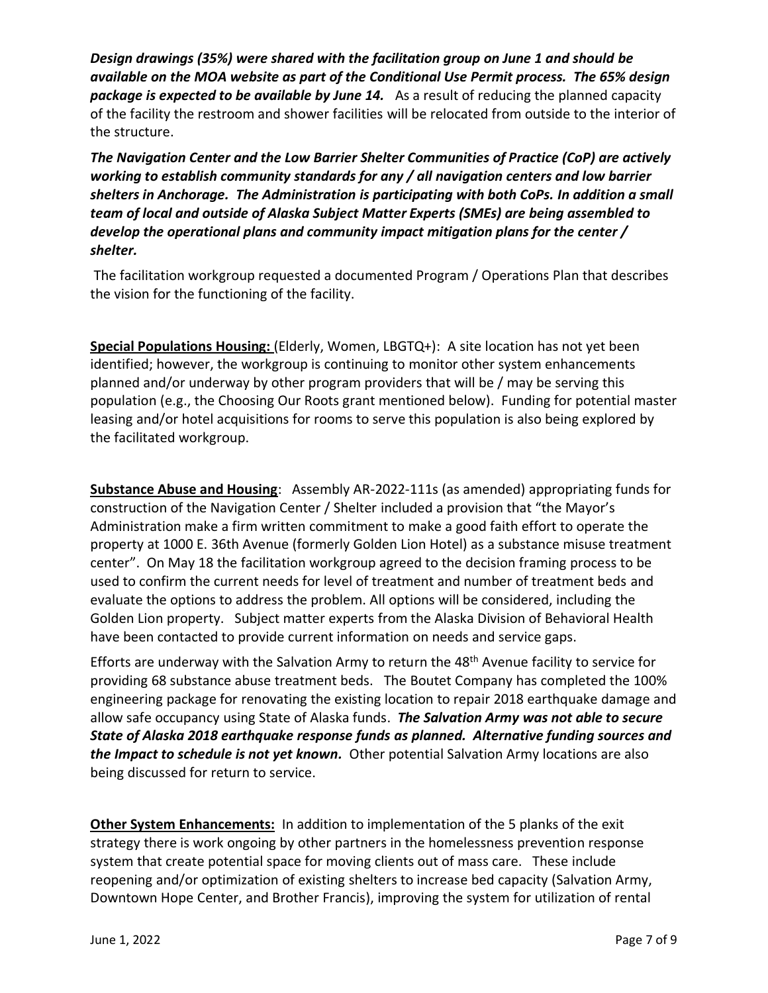*Design drawings (35%) were shared with the facilitation group on June 1 and should be available on the MOA website as part of the Conditional Use Permit process. The 65% design package is expected to be available by June 14.* As a result of reducing the planned capacity of the facility the restroom and shower facilities will be relocated from outside to the interior of the structure.

*The Navigation Center and the Low Barrier Shelter Communities of Practice (CoP) are actively working to establish community standards for any / all navigation centers and low barrier shelters in Anchorage. The Administration is participating with both CoPs. In addition a small team of local and outside of Alaska Subject Matter Experts (SMEs) are being assembled to develop the operational plans and community impact mitigation plans for the center / shelter.* 

The facilitation workgroup requested a documented Program / Operations Plan that describes the vision for the functioning of the facility.

**Special Populations Housing:** (Elderly, Women, LBGTQ+): A site location has not yet been identified; however, the workgroup is continuing to monitor other system enhancements planned and/or underway by other program providers that will be / may be serving this population (e.g., the Choosing Our Roots grant mentioned below). Funding for potential master leasing and/or hotel acquisitions for rooms to serve this population is also being explored by the facilitated workgroup.

**Substance Abuse and Housing**: Assembly AR-2022-111s (as amended) appropriating funds for construction of the Navigation Center / Shelter included a provision that "the Mayor's Administration make a firm written commitment to make a good faith effort to operate the property at 1000 E. 36th Avenue (formerly Golden Lion Hotel) as a substance misuse treatment center". On May 18 the facilitation workgroup agreed to the decision framing process to be used to confirm the current needs for level of treatment and number of treatment beds and evaluate the options to address the problem. All options will be considered, including the Golden Lion property. Subject matter experts from the Alaska Division of Behavioral Health have been contacted to provide current information on needs and service gaps.

Efforts are underway with the Salvation Army to return the 48<sup>th</sup> Avenue facility to service for providing 68 substance abuse treatment beds. The Boutet Company has completed the 100% engineering package for renovating the existing location to repair 2018 earthquake damage and allow safe occupancy using State of Alaska funds. *The Salvation Army was not able to secure State of Alaska 2018 earthquake response funds as planned. Alternative funding sources and the Impact to schedule is not yet known.* Other potential Salvation Army locations are also being discussed for return to service.

**Other System Enhancements:** In addition to implementation of the 5 planks of the exit strategy there is work ongoing by other partners in the homelessness prevention response system that create potential space for moving clients out of mass care. These include reopening and/or optimization of existing shelters to increase bed capacity (Salvation Army, Downtown Hope Center, and Brother Francis), improving the system for utilization of rental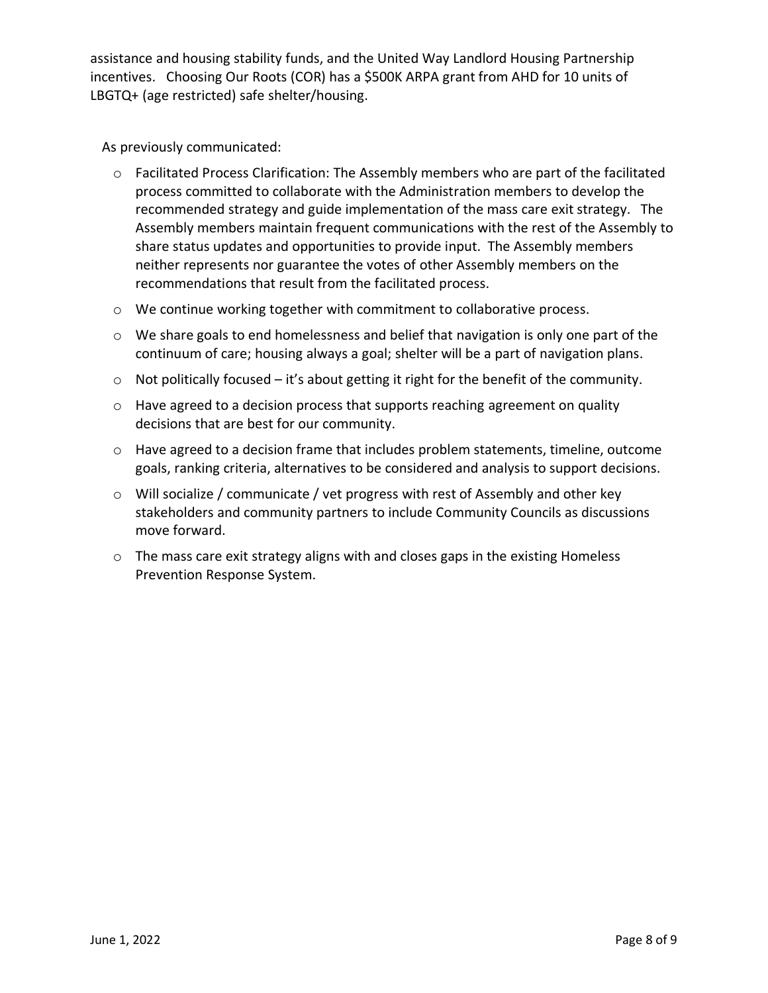assistance and housing stability funds, and the United Way Landlord Housing Partnership incentives. Choosing Our Roots (COR) has a \$500K ARPA grant from AHD for 10 units of LBGTQ+ (age restricted) safe shelter/housing.

As previously communicated:

- $\circ$  Facilitated Process Clarification: The Assembly members who are part of the facilitated process committed to collaborate with the Administration members to develop the recommended strategy and guide implementation of the mass care exit strategy. The Assembly members maintain frequent communications with the rest of the Assembly to share status updates and opportunities to provide input. The Assembly members neither represents nor guarantee the votes of other Assembly members on the recommendations that result from the facilitated process.
- o We continue working together with commitment to collaborative process.
- $\circ$  We share goals to end homelessness and belief that navigation is only one part of the continuum of care; housing always a goal; shelter will be a part of navigation plans.
- $\circ$  Not politically focused it's about getting it right for the benefit of the community.
- $\circ$  Have agreed to a decision process that supports reaching agreement on quality decisions that are best for our community.
- $\circ$  Have agreed to a decision frame that includes problem statements, timeline, outcome goals, ranking criteria, alternatives to be considered and analysis to support decisions.
- $\circ$  Will socialize / communicate / vet progress with rest of Assembly and other key stakeholders and community partners to include Community Councils as discussions move forward.
- $\circ$  The mass care exit strategy aligns with and closes gaps in the existing Homeless Prevention Response System.